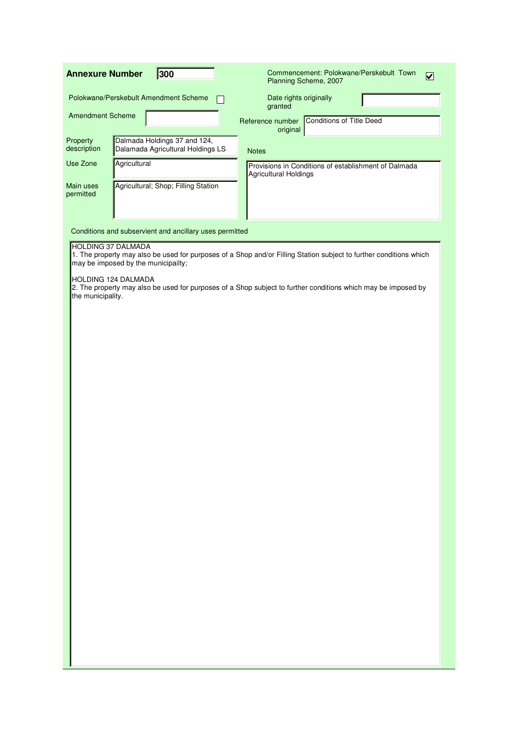| 300<br><b>Annexure Number</b>                                                                | Commencement: Polokwane/Perskebult Town<br>$\overline{\mathbf{v}}$<br>Planning Scheme, 2007                        |
|----------------------------------------------------------------------------------------------|--------------------------------------------------------------------------------------------------------------------|
| Polokwane/Perskebult Amendment Scheme                                                        | Date rights originally<br>granted                                                                                  |
| <b>Amendment Scheme</b>                                                                      | <b>Conditions of Title Deed</b><br>Reference number<br>original                                                    |
| Dalmada Holdings 37 and 124,<br>Property<br>description<br>Dalamada Agricultural Holdings LS | <b>Notes</b>                                                                                                       |
| Use Zone<br>Agricultural                                                                     | Provisions in Conditions of establishment of Dalmada<br><b>Agricultural Holdings</b>                               |
| Agricultural; Shop; Filling Station<br>Main uses<br>permitted                                |                                                                                                                    |
| Conditions and subservient and ancillary uses permitted                                      |                                                                                                                    |
| <b>HOLDING 37 DALMADA</b><br>may be imposed by the municipailty;                             | 1. The property may also be used for purposes of a Shop and/or Filling Station subject to further conditions which |
| HOLDING 124 DALMADA<br>the municipality.                                                     | 2. The property may also be used for purposes of a Shop subject to further conditions which may be imposed by      |
|                                                                                              |                                                                                                                    |
|                                                                                              |                                                                                                                    |
|                                                                                              |                                                                                                                    |
|                                                                                              |                                                                                                                    |
|                                                                                              |                                                                                                                    |
|                                                                                              |                                                                                                                    |
|                                                                                              |                                                                                                                    |
|                                                                                              |                                                                                                                    |
|                                                                                              |                                                                                                                    |
|                                                                                              |                                                                                                                    |
|                                                                                              |                                                                                                                    |
|                                                                                              |                                                                                                                    |
|                                                                                              |                                                                                                                    |
|                                                                                              |                                                                                                                    |
|                                                                                              |                                                                                                                    |
|                                                                                              |                                                                                                                    |
|                                                                                              |                                                                                                                    |
|                                                                                              |                                                                                                                    |
|                                                                                              |                                                                                                                    |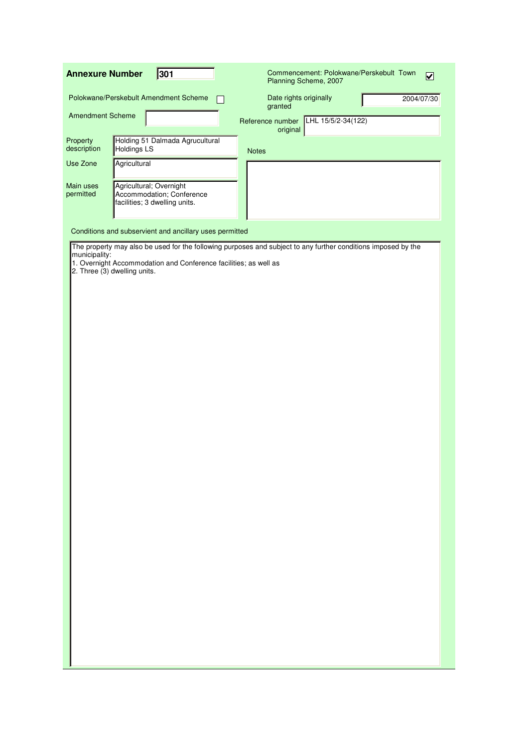| <b>Annexure Number</b>  | 301                                                                                              | Commencement: Polokwane/Perskebult Town<br>$\overline{\mathbf{v}}$<br>Planning Scheme, 2007                   |
|-------------------------|--------------------------------------------------------------------------------------------------|---------------------------------------------------------------------------------------------------------------|
|                         | Polokwane/Perskebult Amendment Scheme                                                            | Date rights originally<br>2004/07/30<br>granted                                                               |
| <b>Amendment Scheme</b> |                                                                                                  | LHL 15/5/2-34(122)<br>Reference number<br>original                                                            |
| Property<br>description | Holding 51 Dalmada Agrucultural<br>Holdings LS                                                   | <b>Notes</b>                                                                                                  |
| Use Zone                | Agricultural                                                                                     |                                                                                                               |
| Main uses<br>permitted  | Agricultural; Overnight<br>Accommodation; Conference<br>facilities; 3 dwelling units.            |                                                                                                               |
|                         | Conditions and subservient and ancillary uses permitted                                          |                                                                                                               |
| municipality:           | 1. Overnight Accommodation and Conference facilities; as well as<br>2. Three (3) dwelling units. | The property may also be used for the following purposes and subject to any further conditions imposed by the |
|                         |                                                                                                  |                                                                                                               |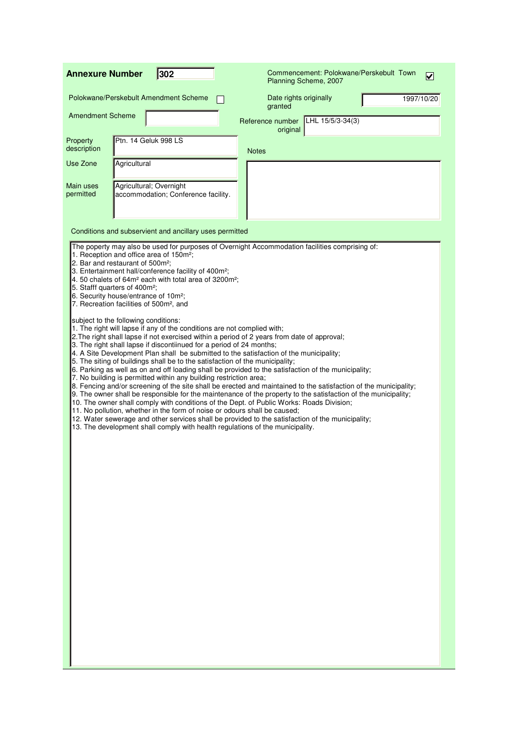| 302<br><b>Annexure Number</b>                                                                                                                                                                                                                                                                                                                                                                                                                                                                                                                                                                                                                                                                                                                                                                                                                                                                                                                                                                                                                                                                                                                                                                                                                                                                                                                                                                                                                                                                                                     | Commencement: Polokwane/Perskebult Town<br>$\blacktriangledown$<br>Planning Scheme, 2007                                                                                                                                           |
|-----------------------------------------------------------------------------------------------------------------------------------------------------------------------------------------------------------------------------------------------------------------------------------------------------------------------------------------------------------------------------------------------------------------------------------------------------------------------------------------------------------------------------------------------------------------------------------------------------------------------------------------------------------------------------------------------------------------------------------------------------------------------------------------------------------------------------------------------------------------------------------------------------------------------------------------------------------------------------------------------------------------------------------------------------------------------------------------------------------------------------------------------------------------------------------------------------------------------------------------------------------------------------------------------------------------------------------------------------------------------------------------------------------------------------------------------------------------------------------------------------------------------------------|------------------------------------------------------------------------------------------------------------------------------------------------------------------------------------------------------------------------------------|
| Polokwane/Perskebult Amendment Scheme                                                                                                                                                                                                                                                                                                                                                                                                                                                                                                                                                                                                                                                                                                                                                                                                                                                                                                                                                                                                                                                                                                                                                                                                                                                                                                                                                                                                                                                                                             | Date rights originally<br>1997/10/20<br>granted                                                                                                                                                                                    |
| <b>Amendment Scheme</b>                                                                                                                                                                                                                                                                                                                                                                                                                                                                                                                                                                                                                                                                                                                                                                                                                                                                                                                                                                                                                                                                                                                                                                                                                                                                                                                                                                                                                                                                                                           | $LHL$ 15/5/3-34(3)<br>Reference number<br>original                                                                                                                                                                                 |
| Ptn. 14 Geluk 998 LS<br>Property<br>description                                                                                                                                                                                                                                                                                                                                                                                                                                                                                                                                                                                                                                                                                                                                                                                                                                                                                                                                                                                                                                                                                                                                                                                                                                                                                                                                                                                                                                                                                   | <b>Notes</b>                                                                                                                                                                                                                       |
| Agricultural<br>Use Zone                                                                                                                                                                                                                                                                                                                                                                                                                                                                                                                                                                                                                                                                                                                                                                                                                                                                                                                                                                                                                                                                                                                                                                                                                                                                                                                                                                                                                                                                                                          |                                                                                                                                                                                                                                    |
| Agricultural; Overnight<br>Main uses<br>permitted<br>accommodation; Conference facility.                                                                                                                                                                                                                                                                                                                                                                                                                                                                                                                                                                                                                                                                                                                                                                                                                                                                                                                                                                                                                                                                                                                                                                                                                                                                                                                                                                                                                                          |                                                                                                                                                                                                                                    |
| Conditions and subservient and ancillary uses permitted                                                                                                                                                                                                                                                                                                                                                                                                                                                                                                                                                                                                                                                                                                                                                                                                                                                                                                                                                                                                                                                                                                                                                                                                                                                                                                                                                                                                                                                                           |                                                                                                                                                                                                                                    |
| The poperty may also be used for purposes of Overnight Accommodation facilities comprising of:<br>1. Reception and office area of 150m <sup>2</sup> ;<br>2. Bar and restaurant of 500m <sup>2</sup> ;<br>3. Entertainment hall/conference facility of 400m <sup>2</sup> ;<br>4. 50 chalets of 64m <sup>2</sup> each with total area of 3200m <sup>2</sup> ;<br>5. Stafff quarters of 400m <sup>2</sup> ;<br>6. Security house/entrance of 10m <sup>2</sup> ;<br>7. Recreation facilities of 500m <sup>2</sup> , and<br>subject to the following conditions:<br>1. The right will lapse if any of the conditions are not complied with;<br>2. The right shall lapse if not exercised within a period of 2 years from date of approval;<br>3. The right shall lapse if discontiinued for a period of 24 months;<br>4. A Site Development Plan shall be submitted to the satisfaction of the municipality;<br>5. The siting of buildings shall be to the satisfaction of the municipality;<br>6. Parking as well as on and off loading shall be provided to the satisfaction of the municipality;<br>7. No building is permitted within any building restriction area;<br>10. The owner shall comply with conditions of the Dept. of Public Works: Roads Division;<br>11. No pollution, whether in the form of noise or odours shall be caused;<br>12. Water sewerage and other services shall be provided to the satisfaction of the municipality;<br>13. The development shall comply with health regulations of the municipality. | 8. Fencing and/or screening of the site shall be erected and maintained to the satisfaction of the municipality;<br>9. The owner shall be responsible for the maintenance of the property to the satisfaction of the municipality; |
|                                                                                                                                                                                                                                                                                                                                                                                                                                                                                                                                                                                                                                                                                                                                                                                                                                                                                                                                                                                                                                                                                                                                                                                                                                                                                                                                                                                                                                                                                                                                   |                                                                                                                                                                                                                                    |
|                                                                                                                                                                                                                                                                                                                                                                                                                                                                                                                                                                                                                                                                                                                                                                                                                                                                                                                                                                                                                                                                                                                                                                                                                                                                                                                                                                                                                                                                                                                                   |                                                                                                                                                                                                                                    |
|                                                                                                                                                                                                                                                                                                                                                                                                                                                                                                                                                                                                                                                                                                                                                                                                                                                                                                                                                                                                                                                                                                                                                                                                                                                                                                                                                                                                                                                                                                                                   |                                                                                                                                                                                                                                    |
|                                                                                                                                                                                                                                                                                                                                                                                                                                                                                                                                                                                                                                                                                                                                                                                                                                                                                                                                                                                                                                                                                                                                                                                                                                                                                                                                                                                                                                                                                                                                   |                                                                                                                                                                                                                                    |
|                                                                                                                                                                                                                                                                                                                                                                                                                                                                                                                                                                                                                                                                                                                                                                                                                                                                                                                                                                                                                                                                                                                                                                                                                                                                                                                                                                                                                                                                                                                                   |                                                                                                                                                                                                                                    |
|                                                                                                                                                                                                                                                                                                                                                                                                                                                                                                                                                                                                                                                                                                                                                                                                                                                                                                                                                                                                                                                                                                                                                                                                                                                                                                                                                                                                                                                                                                                                   |                                                                                                                                                                                                                                    |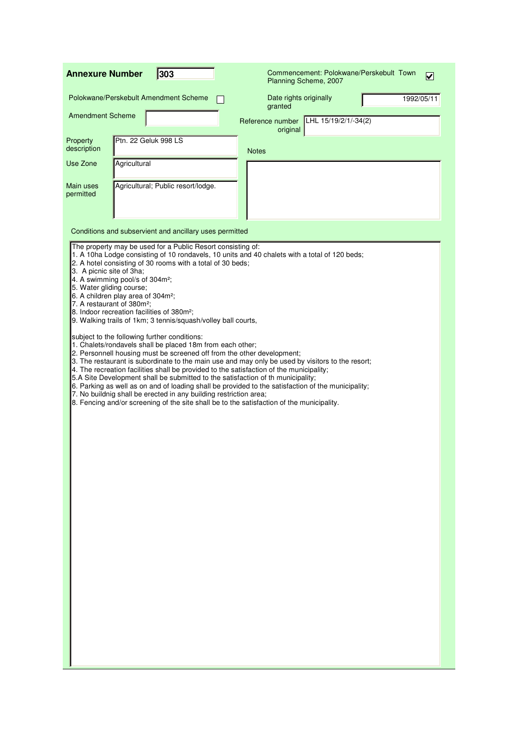| <b>Annexure Number</b>                                                                                                                                                                                                                                                                                    | 303                                                                                                                                                                                                                                                                                                                                                                                                    | Commencement: Polokwane/Perskebult Town<br>Planning Scheme, 2007                                                                                                                                                                                                                                                                                                                                                                                                                                                                                                                   | $\blacktriangledown$ |
|-----------------------------------------------------------------------------------------------------------------------------------------------------------------------------------------------------------------------------------------------------------------------------------------------------------|--------------------------------------------------------------------------------------------------------------------------------------------------------------------------------------------------------------------------------------------------------------------------------------------------------------------------------------------------------------------------------------------------------|------------------------------------------------------------------------------------------------------------------------------------------------------------------------------------------------------------------------------------------------------------------------------------------------------------------------------------------------------------------------------------------------------------------------------------------------------------------------------------------------------------------------------------------------------------------------------------|----------------------|
| Polokwane/Perskebult Amendment Scheme                                                                                                                                                                                                                                                                     |                                                                                                                                                                                                                                                                                                                                                                                                        | Date rights originally<br>granted                                                                                                                                                                                                                                                                                                                                                                                                                                                                                                                                                  | 1992/05/11           |
| <b>Amendment Scheme</b>                                                                                                                                                                                                                                                                                   |                                                                                                                                                                                                                                                                                                                                                                                                        | LHL 15/19/2/1/-34(2)<br>Reference number<br>original                                                                                                                                                                                                                                                                                                                                                                                                                                                                                                                               |                      |
| Property<br>description                                                                                                                                                                                                                                                                                   | Ptn. 22 Geluk 998 LS                                                                                                                                                                                                                                                                                                                                                                                   | <b>Notes</b>                                                                                                                                                                                                                                                                                                                                                                                                                                                                                                                                                                       |                      |
| Use Zone<br>Agricultural                                                                                                                                                                                                                                                                                  |                                                                                                                                                                                                                                                                                                                                                                                                        |                                                                                                                                                                                                                                                                                                                                                                                                                                                                                                                                                                                    |                      |
| Main uses<br>permitted                                                                                                                                                                                                                                                                                    | Agricultural; Public resort/lodge.                                                                                                                                                                                                                                                                                                                                                                     |                                                                                                                                                                                                                                                                                                                                                                                                                                                                                                                                                                                    |                      |
|                                                                                                                                                                                                                                                                                                           | Conditions and subservient and ancillary uses permitted                                                                                                                                                                                                                                                                                                                                                |                                                                                                                                                                                                                                                                                                                                                                                                                                                                                                                                                                                    |                      |
| 3. A picnic site of 3ha;<br>4. A swimming pool/s of 304m <sup>2</sup> ;<br>5. Water gliding course;<br>6. A children play area of 304m <sup>2</sup> ;<br>7. A restaurant of 380m <sup>2</sup> ;<br>8. Indoor recreation facilities of 380m <sup>2</sup> ;<br>subject to the following further conditions: | The property may be used for a Public Resort consisting of:<br>2. A hotel consisting of 30 rooms with a total of 30 beds;<br>9. Walking trails of 1km; 3 tennis/squash/volley ball courts,<br>1. Chalets/rondavels shall be placed 18m from each other;<br>2. Personnell housing must be screened off from the other development;<br>7. No buildnig shall be erected in any building restriction area; | 1. A 10ha Lodge consisting of 10 rondavels, 10 units and 40 chalets with a total of 120 beds;<br>3. The restaurant is subordinate to the main use and may only be used by visitors to the resort;<br>4. The recreation facilities shall be provided to the satisfaction of the municipality;<br>5.A Site Development shall be submitted to the satisfaction of th municipality;<br>6. Parking as well as on and of loading shall be provided to the satisfaction of the municipality;<br>8. Fencing and/or screening of the site shall be to the satisfaction of the municipality. |                      |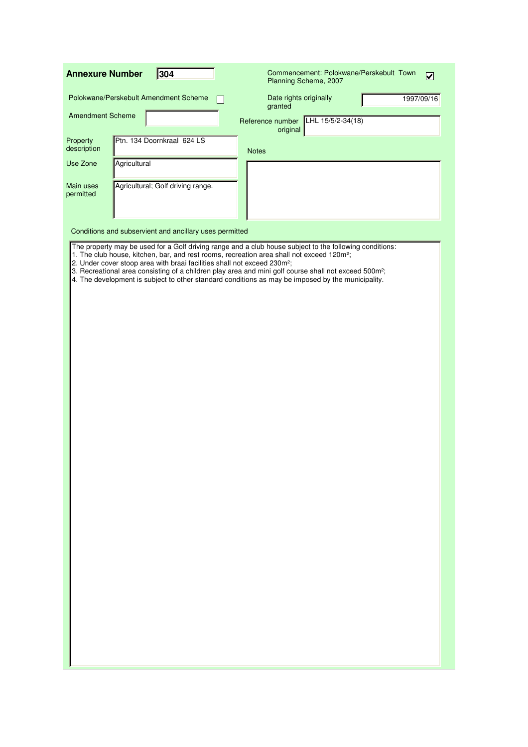| <b>Annexure Number</b>  |              | 304                                                                                  | Commencement: Polokwane/Perskebult Town<br>Planning Scheme, 2007                                                                                                                                                                                                                                                                                                                                                                           | $\overline{\mathbf{v}}$ |
|-------------------------|--------------|--------------------------------------------------------------------------------------|--------------------------------------------------------------------------------------------------------------------------------------------------------------------------------------------------------------------------------------------------------------------------------------------------------------------------------------------------------------------------------------------------------------------------------------------|-------------------------|
|                         |              | Polokwane/Perskebult Amendment Scheme                                                | Date rights originally<br>granted                                                                                                                                                                                                                                                                                                                                                                                                          | 1997/09/16              |
| <b>Amendment Scheme</b> |              |                                                                                      | LHL 15/5/2-34(18)<br>Reference number<br>original                                                                                                                                                                                                                                                                                                                                                                                          |                         |
| Property<br>description |              | Ptn. 134 Doornkraal 624 LS                                                           | <b>Notes</b>                                                                                                                                                                                                                                                                                                                                                                                                                               |                         |
| Use Zone                | Agricultural |                                                                                      |                                                                                                                                                                                                                                                                                                                                                                                                                                            |                         |
| Main uses<br>permitted  |              | Agricultural; Golf driving range.                                                    |                                                                                                                                                                                                                                                                                                                                                                                                                                            |                         |
|                         |              | Conditions and subservient and ancillary uses permitted                              |                                                                                                                                                                                                                                                                                                                                                                                                                                            |                         |
|                         |              | 2. Under cover stoop area with braai facilities shall not exceed 230m <sup>2</sup> ; | The property may be used for a Golf driving range and a club house subject to the following conditions:<br>1. The club house, kitchen, bar, and rest rooms, recreation area shall not exceed 120m <sup>2</sup> ;<br>3. Recreational area consisting of a children play area and mini golf course shall not exceed 500m <sup>2</sup> ;<br>4. The development is subject to other standard conditions as may be imposed by the municipality. |                         |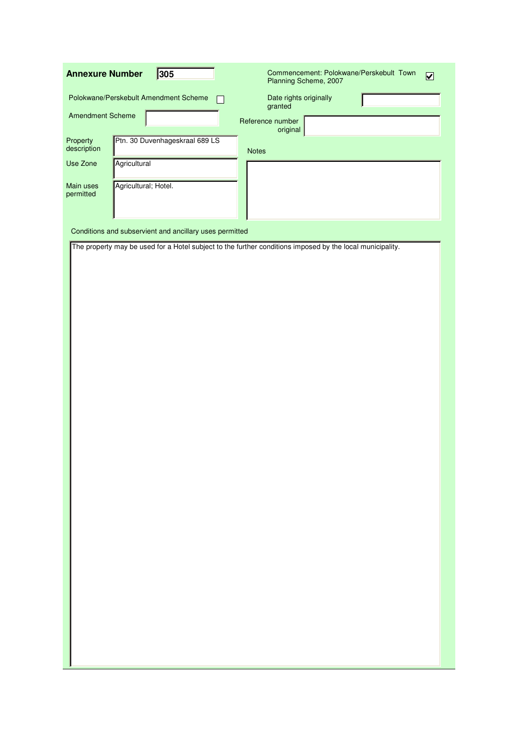| Polokwane/Perskebult Amendment Scheme<br>Date rights originally<br>granted<br><b>Amendment Scheme</b><br>Reference number<br>original<br>Ptn. 30 Duvenhageskraal 689 LS<br>Property<br>description<br><b>Notes</b><br>Agricultural<br>Use Zone<br>Agricultural; Hotel.<br>Main uses<br>permitted<br>Conditions and subservient and ancillary uses permitted<br>The property may be used for a Hotel subject to the further conditions imposed by the local municipality. |
|--------------------------------------------------------------------------------------------------------------------------------------------------------------------------------------------------------------------------------------------------------------------------------------------------------------------------------------------------------------------------------------------------------------------------------------------------------------------------|
|                                                                                                                                                                                                                                                                                                                                                                                                                                                                          |
|                                                                                                                                                                                                                                                                                                                                                                                                                                                                          |
|                                                                                                                                                                                                                                                                                                                                                                                                                                                                          |
|                                                                                                                                                                                                                                                                                                                                                                                                                                                                          |
|                                                                                                                                                                                                                                                                                                                                                                                                                                                                          |
|                                                                                                                                                                                                                                                                                                                                                                                                                                                                          |
|                                                                                                                                                                                                                                                                                                                                                                                                                                                                          |
|                                                                                                                                                                                                                                                                                                                                                                                                                                                                          |
|                                                                                                                                                                                                                                                                                                                                                                                                                                                                          |
|                                                                                                                                                                                                                                                                                                                                                                                                                                                                          |
|                                                                                                                                                                                                                                                                                                                                                                                                                                                                          |
|                                                                                                                                                                                                                                                                                                                                                                                                                                                                          |
|                                                                                                                                                                                                                                                                                                                                                                                                                                                                          |
|                                                                                                                                                                                                                                                                                                                                                                                                                                                                          |
|                                                                                                                                                                                                                                                                                                                                                                                                                                                                          |
|                                                                                                                                                                                                                                                                                                                                                                                                                                                                          |
|                                                                                                                                                                                                                                                                                                                                                                                                                                                                          |
|                                                                                                                                                                                                                                                                                                                                                                                                                                                                          |
|                                                                                                                                                                                                                                                                                                                                                                                                                                                                          |
|                                                                                                                                                                                                                                                                                                                                                                                                                                                                          |
|                                                                                                                                                                                                                                                                                                                                                                                                                                                                          |
|                                                                                                                                                                                                                                                                                                                                                                                                                                                                          |
|                                                                                                                                                                                                                                                                                                                                                                                                                                                                          |
|                                                                                                                                                                                                                                                                                                                                                                                                                                                                          |
|                                                                                                                                                                                                                                                                                                                                                                                                                                                                          |
|                                                                                                                                                                                                                                                                                                                                                                                                                                                                          |
|                                                                                                                                                                                                                                                                                                                                                                                                                                                                          |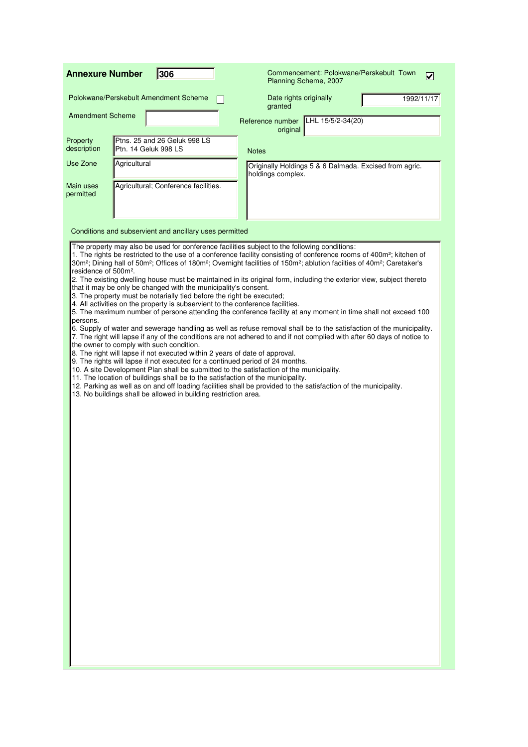| <b>Annexure Number</b>                       | 306                                                                                                                                                                                                                                                                                                                                                                                                                                                                                                                                                                                                                                                                                                                                                                                     | Commencement: Polokwane/Perskebult Town<br>$\blacktriangledown$<br>Planning Scheme, 2007                                                                                                                                                                                                                                                                                                                                                                                                                                                                                                                                                                                                                                                                                                                                                                                                                                                |
|----------------------------------------------|-----------------------------------------------------------------------------------------------------------------------------------------------------------------------------------------------------------------------------------------------------------------------------------------------------------------------------------------------------------------------------------------------------------------------------------------------------------------------------------------------------------------------------------------------------------------------------------------------------------------------------------------------------------------------------------------------------------------------------------------------------------------------------------------|-----------------------------------------------------------------------------------------------------------------------------------------------------------------------------------------------------------------------------------------------------------------------------------------------------------------------------------------------------------------------------------------------------------------------------------------------------------------------------------------------------------------------------------------------------------------------------------------------------------------------------------------------------------------------------------------------------------------------------------------------------------------------------------------------------------------------------------------------------------------------------------------------------------------------------------------|
|                                              | Polokwane/Perskebult Amendment Scheme                                                                                                                                                                                                                                                                                                                                                                                                                                                                                                                                                                                                                                                                                                                                                   | Date rights originally<br>1992/11/17<br>granted                                                                                                                                                                                                                                                                                                                                                                                                                                                                                                                                                                                                                                                                                                                                                                                                                                                                                         |
| <b>Amendment Scheme</b>                      |                                                                                                                                                                                                                                                                                                                                                                                                                                                                                                                                                                                                                                                                                                                                                                                         | LHL 15/5/2-34(20)<br>Reference number<br>original                                                                                                                                                                                                                                                                                                                                                                                                                                                                                                                                                                                                                                                                                                                                                                                                                                                                                       |
| Property<br>description                      | Ptns. 25 and 26 Geluk 998 LS<br><b>Ptn. 14 Geluk 998 LS</b>                                                                                                                                                                                                                                                                                                                                                                                                                                                                                                                                                                                                                                                                                                                             | <b>Notes</b>                                                                                                                                                                                                                                                                                                                                                                                                                                                                                                                                                                                                                                                                                                                                                                                                                                                                                                                            |
| Use Zone                                     | Agricultural                                                                                                                                                                                                                                                                                                                                                                                                                                                                                                                                                                                                                                                                                                                                                                            | Originally Holdings 5 & 6 Dalmada. Excised from agric.<br>holdings complex.                                                                                                                                                                                                                                                                                                                                                                                                                                                                                                                                                                                                                                                                                                                                                                                                                                                             |
| Main uses<br>permitted                       | Agricultural; Conference facilities.                                                                                                                                                                                                                                                                                                                                                                                                                                                                                                                                                                                                                                                                                                                                                    |                                                                                                                                                                                                                                                                                                                                                                                                                                                                                                                                                                                                                                                                                                                                                                                                                                                                                                                                         |
|                                              | Conditions and subservient and ancillary uses permitted                                                                                                                                                                                                                                                                                                                                                                                                                                                                                                                                                                                                                                                                                                                                 |                                                                                                                                                                                                                                                                                                                                                                                                                                                                                                                                                                                                                                                                                                                                                                                                                                                                                                                                         |
| residence of 500m <sup>2</sup> .<br>persons. | The property may also be used for conference facilities subject to the following conditions:<br>that it may be only be changed with the municipality's consent.<br>3. The property must be notarially tied before the right be executed;<br>4. All activities on the property is subservient to the conference facilities.<br>the owner to comply with such condition.<br>8. The right will lapse if not executed within 2 years of date of approval.<br>9. The rights will lapse if not executed for a continued period of 24 months.<br>10. A site Development Plan shall be submitted to the satisfaction of the municipality.<br>11. The location of buildings shall be to the satisfaction of the municipality.<br>13. No buildings shall be allowed in building restriction area. | 1. The rights be restricted to the use of a conference facility consisting of conference rooms of 400m <sup>2</sup> ; kitchen of<br>30m <sup>2</sup> ; Dining hall of 50m <sup>2</sup> ; Offices of 180m <sup>2</sup> ; Overnight facilities of 150m <sup>2</sup> ; ablution facilties of 40m <sup>2</sup> ; Caretaker's<br>2. The existing dwelling house must be maintained in its original form, including the exterior view, subject thereto<br>5. The maximum number of persone attending the conference facility at any moment in time shall not exceed 100<br>6. Supply of water and sewerage handling as well as refuse removal shall be to the satisfaction of the municipality.<br>7. The right will lapse if any of the conditions are not adhered to and if not complied with after 60 days of notice to<br>12. Parking as well as on and off loading facilities shall be provided to the satisfaction of the municipality. |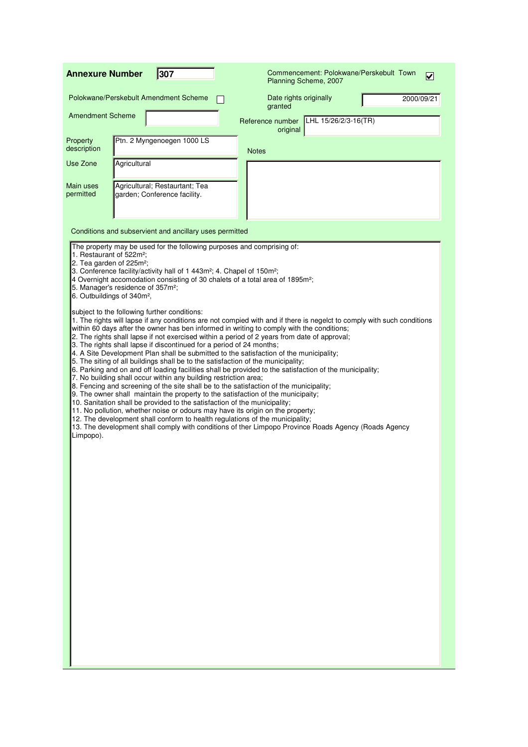| 307<br>Commencement: Polokwane/Perskebult Town<br><b>Annexure Number</b><br>V<br>Planning Scheme, 2007                                                                  |                                                                                                                                                                                                                                                                                                                                                                                                                                                                                                                                                                                                                                                                                                                                                                                                                                                                                                                                                                                                                                                                                                                                                                                                                                                                                               |                                   |                      |  |            |  |
|-------------------------------------------------------------------------------------------------------------------------------------------------------------------------|-----------------------------------------------------------------------------------------------------------------------------------------------------------------------------------------------------------------------------------------------------------------------------------------------------------------------------------------------------------------------------------------------------------------------------------------------------------------------------------------------------------------------------------------------------------------------------------------------------------------------------------------------------------------------------------------------------------------------------------------------------------------------------------------------------------------------------------------------------------------------------------------------------------------------------------------------------------------------------------------------------------------------------------------------------------------------------------------------------------------------------------------------------------------------------------------------------------------------------------------------------------------------------------------------|-----------------------------------|----------------------|--|------------|--|
| Polokwane/Perskebult Amendment Scheme                                                                                                                                   |                                                                                                                                                                                                                                                                                                                                                                                                                                                                                                                                                                                                                                                                                                                                                                                                                                                                                                                                                                                                                                                                                                                                                                                                                                                                                               | Date rights originally<br>granted |                      |  | 2000/09/21 |  |
| <b>Amendment Scheme</b>                                                                                                                                                 |                                                                                                                                                                                                                                                                                                                                                                                                                                                                                                                                                                                                                                                                                                                                                                                                                                                                                                                                                                                                                                                                                                                                                                                                                                                                                               | Reference number<br>original      | LHL 15/26/2/3-16(TR) |  |            |  |
| Property<br>description                                                                                                                                                 | Ptn. 2 Myngenoegen 1000 LS                                                                                                                                                                                                                                                                                                                                                                                                                                                                                                                                                                                                                                                                                                                                                                                                                                                                                                                                                                                                                                                                                                                                                                                                                                                                    | <b>Notes</b>                      |                      |  |            |  |
| Use Zone<br>Agricultural                                                                                                                                                |                                                                                                                                                                                                                                                                                                                                                                                                                                                                                                                                                                                                                                                                                                                                                                                                                                                                                                                                                                                                                                                                                                                                                                                                                                                                                               |                                   |                      |  |            |  |
| Main uses<br>permitted                                                                                                                                                  | Agricultural; Restaurtant; Tea<br>garden; Conference facility.                                                                                                                                                                                                                                                                                                                                                                                                                                                                                                                                                                                                                                                                                                                                                                                                                                                                                                                                                                                                                                                                                                                                                                                                                                |                                   |                      |  |            |  |
|                                                                                                                                                                         | Conditions and subservient and ancillary uses permitted                                                                                                                                                                                                                                                                                                                                                                                                                                                                                                                                                                                                                                                                                                                                                                                                                                                                                                                                                                                                                                                                                                                                                                                                                                       |                                   |                      |  |            |  |
| 1. Restaurant of 522m <sup>2</sup> :<br>2. Tea garden of 225m <sup>2</sup> ;<br>5. Manager's residence of 357m <sup>2</sup> ;<br>6. Outbuildings of 340m <sup>2</sup> , | The property may be used for the following purposes and comprising of:<br>3. Conference facility/activity hall of 1 443m <sup>2</sup> ; 4. Chapel of 150m <sup>2</sup> ;<br>4 Overnight accomodation consisting of 30 chalets of a total area of 1895m <sup>2</sup> ;                                                                                                                                                                                                                                                                                                                                                                                                                                                                                                                                                                                                                                                                                                                                                                                                                                                                                                                                                                                                                         |                                   |                      |  |            |  |
| subject to the following further conditions:<br>Limpopo).                                                                                                               | 1. The rights will lapse if any conditions are not compied with and if there is negelct to comply with such conditions<br>within 60 days after the owner has ben informed in writing to comply with the conditions;<br>2. The rights shall lapse if not exercised within a period of 2 years from date of approval;<br>3. The rights shall lapse if discontinued for a period of 24 months;<br>4. A Site Development Plan shall be submitted to the satisfaction of the municipality;<br>5. The siting of all buildings shall be to the satisfaction of the municipality;<br>6. Parking and on and off loading facilities shall be provided to the satisfaction of the municipality;<br>7. No building shall occur within any building restriction area;<br>8. Fencing and screening of the site shall be to the satisfaction of the municipality;<br>9. The owner shall maintain the property to the satisfaction of the municipaity;<br>10. Sanitation shall be provided to the satisfaction of the municipality;<br>11. No pollution, whether noise or odours may have its origin on the property;<br>12. The development shall conform to health regulations of the municipality;<br>13. The development shall comply with conditions of ther Limpopo Province Roads Agency (Roads Agency |                                   |                      |  |            |  |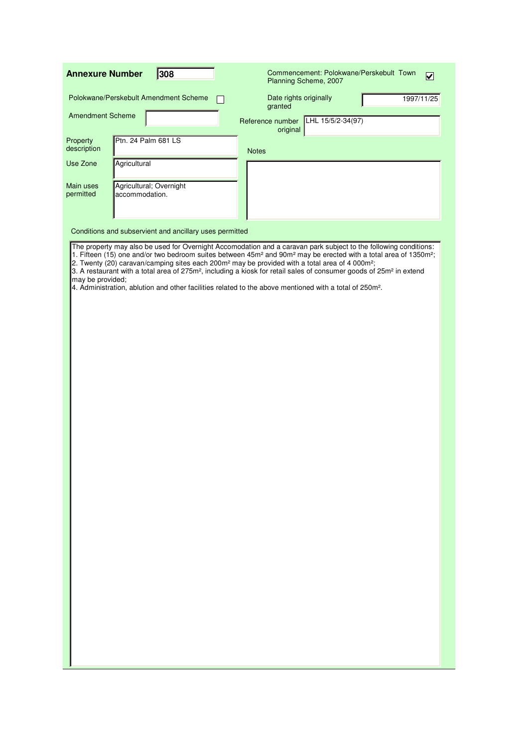| 308<br><b>Annexure Number</b>                                       | Commencement: Polokwane/Perskebult Town<br>$\overline{\mathbf{v}}$<br>Planning Scheme, 2007                                                                                                                                                                                                                                                                                                                                                                                                                                                                                                                                                                              |
|---------------------------------------------------------------------|--------------------------------------------------------------------------------------------------------------------------------------------------------------------------------------------------------------------------------------------------------------------------------------------------------------------------------------------------------------------------------------------------------------------------------------------------------------------------------------------------------------------------------------------------------------------------------------------------------------------------------------------------------------------------|
| Polokwane/Perskebult Amendment Scheme                               | Date rights originally<br>1997/11/25<br>granted                                                                                                                                                                                                                                                                                                                                                                                                                                                                                                                                                                                                                          |
| <b>Amendment Scheme</b>                                             | Reference number LHL 15/5/2-34(97)<br>original                                                                                                                                                                                                                                                                                                                                                                                                                                                                                                                                                                                                                           |
| Ptn. 24 Palm 681 LS<br>Property<br>description                      | <b>Notes</b>                                                                                                                                                                                                                                                                                                                                                                                                                                                                                                                                                                                                                                                             |
| Agricultural<br>Use Zone                                            |                                                                                                                                                                                                                                                                                                                                                                                                                                                                                                                                                                                                                                                                          |
| Agricultural; Overnight<br>Main uses<br>accommodation.<br>permitted |                                                                                                                                                                                                                                                                                                                                                                                                                                                                                                                                                                                                                                                                          |
| Conditions and subservient and ancillary uses permitted             |                                                                                                                                                                                                                                                                                                                                                                                                                                                                                                                                                                                                                                                                          |
| may be provided;                                                    | The property may also be used for Overnight Accomodation and a caravan park subject to the following conditions:<br>1. Fifteen (15) one and/or two bedroom suites between 45m <sup>2</sup> and 90m <sup>2</sup> may be erected with a total area of 1350m <sup>2</sup> ;<br>2. Twenty (20) caravan/camping sites each 200m <sup>2</sup> may be provided with a total area of 4 000m <sup>2</sup> ;<br>3. A restaurant with a total area of 275m <sup>2</sup> , including a kiosk for retail sales of consumer goods of 25m <sup>2</sup> in extend<br>4. Administration, ablution and other facilities related to the above mentioned with a total of 250m <sup>2</sup> . |
|                                                                     |                                                                                                                                                                                                                                                                                                                                                                                                                                                                                                                                                                                                                                                                          |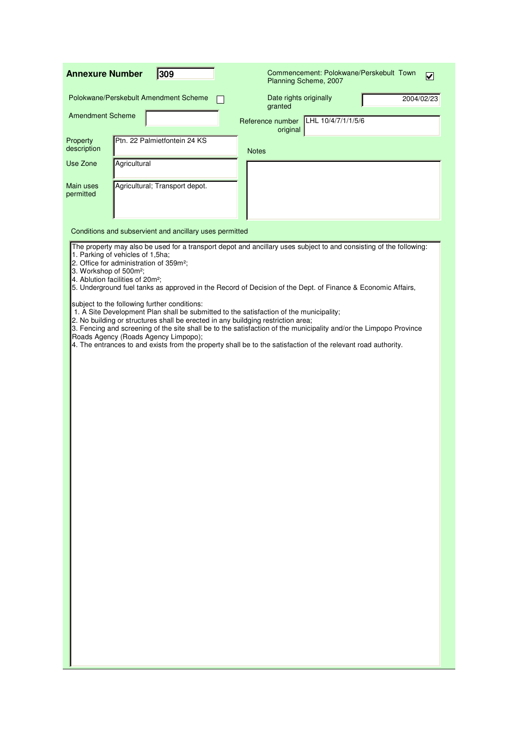| 309<br><b>Annexure Number</b>                                                                                                                                                                                                                                      | Commencement: Polokwane/Perskebult Town<br>$\blacktriangledown$<br>Planning Scheme, 2007                                                                                                                                           |
|--------------------------------------------------------------------------------------------------------------------------------------------------------------------------------------------------------------------------------------------------------------------|------------------------------------------------------------------------------------------------------------------------------------------------------------------------------------------------------------------------------------|
| Polokwane/Perskebult Amendment Scheme                                                                                                                                                                                                                              | Date rights originally<br>2004/02/23<br>granted                                                                                                                                                                                    |
| <b>Amendment Scheme</b>                                                                                                                                                                                                                                            | Reference number LHL 10/4/7/1/1/5/6<br>original                                                                                                                                                                                    |
| Ptn. 22 Palmietfontein 24 KS<br>Property<br>description                                                                                                                                                                                                            | <b>Notes</b>                                                                                                                                                                                                                       |
| Agricultural<br>Use Zone                                                                                                                                                                                                                                           |                                                                                                                                                                                                                                    |
| Agricultural; Transport depot.<br>Main uses<br>permitted                                                                                                                                                                                                           |                                                                                                                                                                                                                                    |
| Conditions and subservient and ancillary uses permitted                                                                                                                                                                                                            |                                                                                                                                                                                                                                    |
| 1. Parking of vehicles of 1,5ha;<br>2. Office for administration of 359m <sup>2</sup> ;<br>3. Workshop of 500m <sup>2</sup> ;<br>4. Ablution facilities of 20m <sup>2</sup> ;                                                                                      | The property may also be used for a transport depot and ancillary uses subject to and consisting of the following:<br>5. Underground fuel tanks as approved in the Record of Decision of the Dept. of Finance & Economic Affairs,  |
| subject to the following further conditions:<br>1. A Site Development Plan shall be submitted to the satisfaction of the municipality;<br>2. No building or structures shall be erected in any buildging restriction area;<br>Roads Agency (Roads Agency Limpopo); | 3. Fencing and screening of the site shall be to the satisfaction of the municipality and/or the Limpopo Province<br>4. The entrances to and exists from the property shall be to the satisfaction of the relevant road authority. |
|                                                                                                                                                                                                                                                                    |                                                                                                                                                                                                                                    |
|                                                                                                                                                                                                                                                                    |                                                                                                                                                                                                                                    |
|                                                                                                                                                                                                                                                                    |                                                                                                                                                                                                                                    |
|                                                                                                                                                                                                                                                                    |                                                                                                                                                                                                                                    |
|                                                                                                                                                                                                                                                                    |                                                                                                                                                                                                                                    |
|                                                                                                                                                                                                                                                                    |                                                                                                                                                                                                                                    |
|                                                                                                                                                                                                                                                                    |                                                                                                                                                                                                                                    |
|                                                                                                                                                                                                                                                                    |                                                                                                                                                                                                                                    |
|                                                                                                                                                                                                                                                                    |                                                                                                                                                                                                                                    |
|                                                                                                                                                                                                                                                                    |                                                                                                                                                                                                                                    |
|                                                                                                                                                                                                                                                                    |                                                                                                                                                                                                                                    |
|                                                                                                                                                                                                                                                                    |                                                                                                                                                                                                                                    |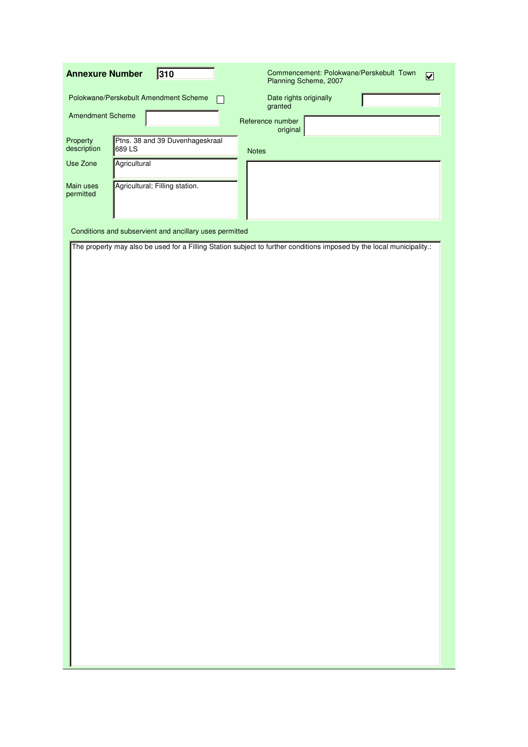| <b>Annexure Number</b>  |              | 310                                                     | Commencement: Polokwane/Perskebult Town<br>$\overline{\mathbf{v}}$<br>Planning Scheme, 2007                           |  |  |  |
|-------------------------|--------------|---------------------------------------------------------|-----------------------------------------------------------------------------------------------------------------------|--|--|--|
|                         |              | Polokwane/Perskebult Amendment Scheme                   | Date rights originally<br>granted                                                                                     |  |  |  |
| <b>Amendment Scheme</b> |              |                                                         | Reference number<br>original                                                                                          |  |  |  |
| Property<br>description | 689 LS       | Ptns. 38 and 39 Duvenhageskraal                         | <b>Notes</b>                                                                                                          |  |  |  |
| Use Zone                | Agricultural |                                                         |                                                                                                                       |  |  |  |
| Main uses<br>permitted  |              | Agricultural; Filling station.                          |                                                                                                                       |  |  |  |
|                         |              |                                                         |                                                                                                                       |  |  |  |
|                         |              | Conditions and subservient and ancillary uses permitted |                                                                                                                       |  |  |  |
|                         |              |                                                         | The property may also be used for a Filling Station subject to further conditions imposed by the local municipality.: |  |  |  |
|                         |              |                                                         |                                                                                                                       |  |  |  |
|                         |              |                                                         |                                                                                                                       |  |  |  |
|                         |              |                                                         |                                                                                                                       |  |  |  |
|                         |              |                                                         |                                                                                                                       |  |  |  |
|                         |              |                                                         |                                                                                                                       |  |  |  |
|                         |              |                                                         |                                                                                                                       |  |  |  |
|                         |              |                                                         |                                                                                                                       |  |  |  |
|                         |              |                                                         |                                                                                                                       |  |  |  |
|                         |              |                                                         |                                                                                                                       |  |  |  |
|                         |              |                                                         |                                                                                                                       |  |  |  |
|                         |              |                                                         |                                                                                                                       |  |  |  |
|                         |              |                                                         |                                                                                                                       |  |  |  |
|                         |              |                                                         |                                                                                                                       |  |  |  |
|                         |              |                                                         |                                                                                                                       |  |  |  |
|                         |              |                                                         |                                                                                                                       |  |  |  |
|                         |              |                                                         |                                                                                                                       |  |  |  |
|                         |              |                                                         |                                                                                                                       |  |  |  |
|                         |              |                                                         |                                                                                                                       |  |  |  |
|                         |              |                                                         |                                                                                                                       |  |  |  |
|                         |              |                                                         |                                                                                                                       |  |  |  |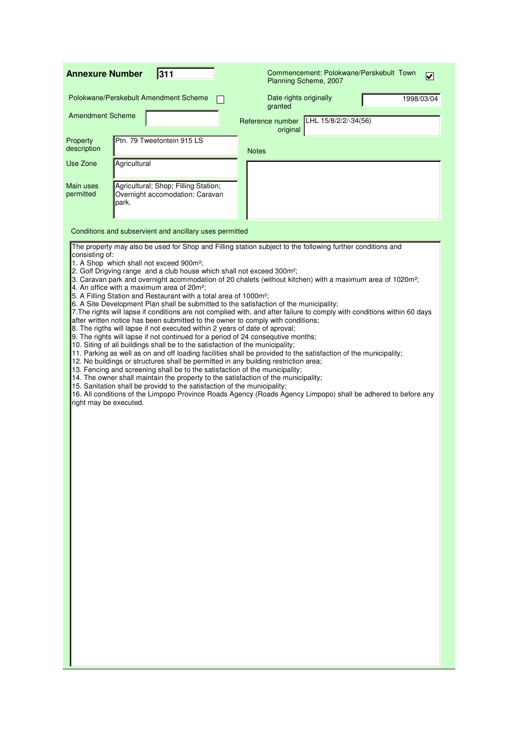| <b>Annexure Number</b>                   |              | 311                                                                                                                                                                                                                                                                                                                                                                                                                                                                                                                                                                                                                                                                                                                                                                                                                                                                                                                                                                                                                                                                                                                                                                                                                                                                                                                                                                                                                                                                                                                                                                                                                                                                    |                              | Planning Scheme, 2007  |                      | Commencement: Polokwane/Perskebult Town | $\vert\!\vert\mathbf{v}\vert\!\vert$ |
|------------------------------------------|--------------|------------------------------------------------------------------------------------------------------------------------------------------------------------------------------------------------------------------------------------------------------------------------------------------------------------------------------------------------------------------------------------------------------------------------------------------------------------------------------------------------------------------------------------------------------------------------------------------------------------------------------------------------------------------------------------------------------------------------------------------------------------------------------------------------------------------------------------------------------------------------------------------------------------------------------------------------------------------------------------------------------------------------------------------------------------------------------------------------------------------------------------------------------------------------------------------------------------------------------------------------------------------------------------------------------------------------------------------------------------------------------------------------------------------------------------------------------------------------------------------------------------------------------------------------------------------------------------------------------------------------------------------------------------------------|------------------------------|------------------------|----------------------|-----------------------------------------|--------------------------------------|
|                                          |              | Polokwane/Perskebult Amendment Scheme                                                                                                                                                                                                                                                                                                                                                                                                                                                                                                                                                                                                                                                                                                                                                                                                                                                                                                                                                                                                                                                                                                                                                                                                                                                                                                                                                                                                                                                                                                                                                                                                                                  | granted                      | Date rights originally |                      |                                         | 1998/03/04                           |
| <b>Amendment Scheme</b>                  |              |                                                                                                                                                                                                                                                                                                                                                                                                                                                                                                                                                                                                                                                                                                                                                                                                                                                                                                                                                                                                                                                                                                                                                                                                                                                                                                                                                                                                                                                                                                                                                                                                                                                                        | Reference number<br>original |                        | LHL 15/8/2/2/-34(56) |                                         |                                      |
| Property<br>description                  |              | Ptn. 79 Tweefontein 915 LS                                                                                                                                                                                                                                                                                                                                                                                                                                                                                                                                                                                                                                                                                                                                                                                                                                                                                                                                                                                                                                                                                                                                                                                                                                                                                                                                                                                                                                                                                                                                                                                                                                             | <b>Notes</b>                 |                        |                      |                                         |                                      |
| Use Zone                                 | Agricultural |                                                                                                                                                                                                                                                                                                                                                                                                                                                                                                                                                                                                                                                                                                                                                                                                                                                                                                                                                                                                                                                                                                                                                                                                                                                                                                                                                                                                                                                                                                                                                                                                                                                                        |                              |                        |                      |                                         |                                      |
| Main uses<br>permitted                   | park.        | Agricultural; Shop; Filling Station;<br>Overnight accomodation; Caravan                                                                                                                                                                                                                                                                                                                                                                                                                                                                                                                                                                                                                                                                                                                                                                                                                                                                                                                                                                                                                                                                                                                                                                                                                                                                                                                                                                                                                                                                                                                                                                                                |                              |                        |                      |                                         |                                      |
|                                          |              | Conditions and subservient and ancillary uses permitted                                                                                                                                                                                                                                                                                                                                                                                                                                                                                                                                                                                                                                                                                                                                                                                                                                                                                                                                                                                                                                                                                                                                                                                                                                                                                                                                                                                                                                                                                                                                                                                                                |                              |                        |                      |                                         |                                      |
| consisting of:<br>right may be executed. |              | The property may also be used for Shop and Filling station subject to the following further conditions and<br>1. A Shop which shall not exceed 900m <sup>2</sup> ;<br>2. Golf Drigving range and a club house which shall not exceed 300m <sup>2</sup> ;<br>3. Caravan park and overnight acommodation of 20 chalets (without kitchen) with a maximum area of 1020m <sup>2</sup> ;<br>4. An office with a maximum area of 20m <sup>2</sup> ;<br>5. A Filling Station and Restaurant with a total area of 1000m <sup>2</sup> ;<br>6. A Site Development Plan shall be submitted to the satisfaction of the municipality;<br>7. The rights will lapse if conditions are not complied with, and after failure to comply with conditions within 60 days<br>after written notice has been submitted to the owner to comply with conditions;<br>8. The rigths will lapse if not executed within 2 years of date of aproval;<br>9. The rights will lapse if not continued for a period of 24 consequtive months;<br>10. Siting of all buildings shall be to the satisfaction of the municipality;<br>11. Parking as well as on and off loading facilities shall be provided to the satisfaction of the municipality;<br>12. No buildings or structures shall be permitted in any building restriction area;<br>13. Fencing and screening shall be to the satisfaction of the municipality;<br>14. The owner shall maintain the property to the satisfaction of the municipality;<br>15. Sanitation shall be providd to the satisfaction of the municipality;<br>16. All conditions of the Limpopo Province Roads Agency (Roads Agency Limpopo) shall be adhered to before any |                              |                        |                      |                                         |                                      |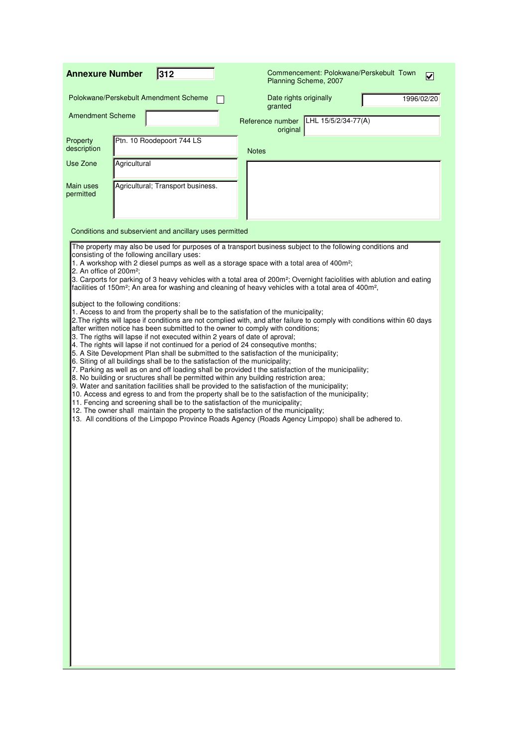| 312<br><b>Annexure Number</b>                                                                                                                                                                                                                                                                                                                                                                                                                                                                                                                                                                                                                                                                                                                                                                                                                                                                                                                                                                                                                                                                                                                                                                                                                                                                                                                                                                                                                                                                                                                                                                                                                                                                                                                                                                                                                                                                                                                                |                                   | Commencement: Polokwane/Perskebult Town<br>Planning Scheme, 2007 | V          |
|--------------------------------------------------------------------------------------------------------------------------------------------------------------------------------------------------------------------------------------------------------------------------------------------------------------------------------------------------------------------------------------------------------------------------------------------------------------------------------------------------------------------------------------------------------------------------------------------------------------------------------------------------------------------------------------------------------------------------------------------------------------------------------------------------------------------------------------------------------------------------------------------------------------------------------------------------------------------------------------------------------------------------------------------------------------------------------------------------------------------------------------------------------------------------------------------------------------------------------------------------------------------------------------------------------------------------------------------------------------------------------------------------------------------------------------------------------------------------------------------------------------------------------------------------------------------------------------------------------------------------------------------------------------------------------------------------------------------------------------------------------------------------------------------------------------------------------------------------------------------------------------------------------------------------------------------------------------|-----------------------------------|------------------------------------------------------------------|------------|
| Polokwane/Perskebult Amendment Scheme                                                                                                                                                                                                                                                                                                                                                                                                                                                                                                                                                                                                                                                                                                                                                                                                                                                                                                                                                                                                                                                                                                                                                                                                                                                                                                                                                                                                                                                                                                                                                                                                                                                                                                                                                                                                                                                                                                                        | Date rights originally<br>granted |                                                                  | 1996/02/20 |
| <b>Amendment Scheme</b>                                                                                                                                                                                                                                                                                                                                                                                                                                                                                                                                                                                                                                                                                                                                                                                                                                                                                                                                                                                                                                                                                                                                                                                                                                                                                                                                                                                                                                                                                                                                                                                                                                                                                                                                                                                                                                                                                                                                      | Reference number<br>original      | LHL 15/5/2/34-77(A)                                              |            |
| Ptn. 10 Roodepoort 744 LS<br>Property<br>description                                                                                                                                                                                                                                                                                                                                                                                                                                                                                                                                                                                                                                                                                                                                                                                                                                                                                                                                                                                                                                                                                                                                                                                                                                                                                                                                                                                                                                                                                                                                                                                                                                                                                                                                                                                                                                                                                                         | <b>Notes</b>                      |                                                                  |            |
| Agricultural<br>Use Zone                                                                                                                                                                                                                                                                                                                                                                                                                                                                                                                                                                                                                                                                                                                                                                                                                                                                                                                                                                                                                                                                                                                                                                                                                                                                                                                                                                                                                                                                                                                                                                                                                                                                                                                                                                                                                                                                                                                                     |                                   |                                                                  |            |
| Main uses<br>Agricultural; Transport business.<br>permitted                                                                                                                                                                                                                                                                                                                                                                                                                                                                                                                                                                                                                                                                                                                                                                                                                                                                                                                                                                                                                                                                                                                                                                                                                                                                                                                                                                                                                                                                                                                                                                                                                                                                                                                                                                                                                                                                                                  |                                   |                                                                  |            |
| Conditions and subservient and ancillary uses permitted                                                                                                                                                                                                                                                                                                                                                                                                                                                                                                                                                                                                                                                                                                                                                                                                                                                                                                                                                                                                                                                                                                                                                                                                                                                                                                                                                                                                                                                                                                                                                                                                                                                                                                                                                                                                                                                                                                      |                                   |                                                                  |            |
| The property may also be used for purposes of a transport business subject to the following conditions and<br>consisting of the following ancillary uses:<br>1. A workshop with 2 diesel pumps as well as a storage space with a total area of 400m <sup>2</sup> ;<br>2. An office of 200m <sup>2</sup> ;<br>3. Carports for parking of 3 heavy vehicles with a total area of 200m <sup>2</sup> ; Overnight faciolities with ablution and eating<br>facilities of 150m <sup>2</sup> ; An area for washing and cleaning of heavy vehicles with a total area of 400m <sup>2</sup> ,<br>subject to the following conditions:<br>1. Access to and from the property shall be to the satisfation of the municipality;<br>2. The rights will lapse if conditions are not complied with, and after failure to comply with conditions within 60 days<br>after written notice has been submitted to the owner to comply with conditions;<br>3. The rigths will lapse if not executed within 2 years of date of aproval;<br>4. The rights will lapse if not continued for a period of 24 consequtive months;<br>5. A Site Development Plan shall be submitted to the satisfaction of the municipality;<br>6. Siting of all buildings shall be to the satisfaction of the municipality;<br>7. Parking as well as on and off loading shall be provided t the satisfaction of the municipaliity;<br>8. No building or sructures shall be permitted within any building restriction area;<br>9. Water and sanitation facilities shall be provided to the satisfaction of the municipality;<br>10. Access and egress to and from the property shall be to the satisfaction of the municipality;<br>11. Fencing and screening shall be to the satisfaction of the municipality;<br>12. The owner shall maintain the property to the satisfaction of the municipality;<br>13. All conditions of the Limpopo Province Roads Agency (Roads Agency Limpopo) shall be adhered to. |                                   |                                                                  |            |
|                                                                                                                                                                                                                                                                                                                                                                                                                                                                                                                                                                                                                                                                                                                                                                                                                                                                                                                                                                                                                                                                                                                                                                                                                                                                                                                                                                                                                                                                                                                                                                                                                                                                                                                                                                                                                                                                                                                                                              |                                   |                                                                  |            |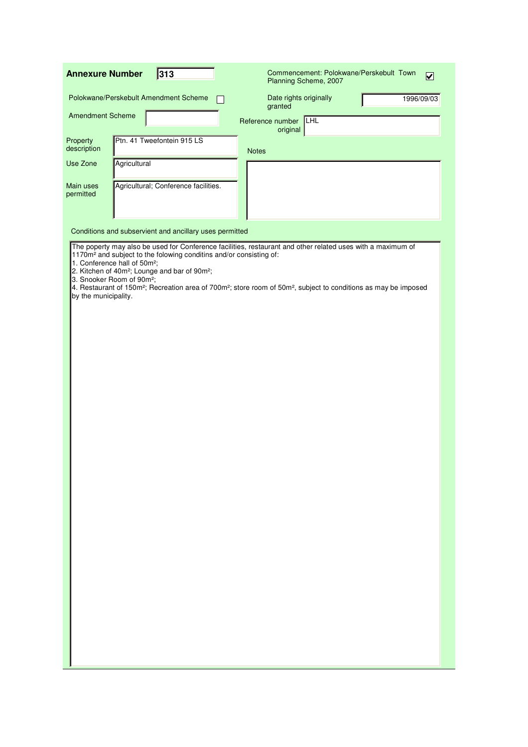| 313<br><b>Annexure Number</b>                                                                             |              | Commencement: Polokwane/Perskebult Town<br>$\boxed{\mathbf{v}}$<br>Planning Scheme, 2007                                                                |                                                                                                                                                                                                                                                                     |  |            |
|-----------------------------------------------------------------------------------------------------------|--------------|---------------------------------------------------------------------------------------------------------------------------------------------------------|---------------------------------------------------------------------------------------------------------------------------------------------------------------------------------------------------------------------------------------------------------------------|--|------------|
|                                                                                                           |              | Polokwane/Perskebult Amendment Scheme                                                                                                                   | Date rights originally<br>granted                                                                                                                                                                                                                                   |  | 1996/09/03 |
| <b>Amendment Scheme</b>                                                                                   |              |                                                                                                                                                         | <b>THL</b><br>Reference number<br>original                                                                                                                                                                                                                          |  |            |
| Property<br>description                                                                                   |              | Ptn. 41 Tweefontein 915 LS                                                                                                                              | <b>Notes</b>                                                                                                                                                                                                                                                        |  |            |
| Use Zone                                                                                                  | Agricultural |                                                                                                                                                         |                                                                                                                                                                                                                                                                     |  |            |
| Main uses<br>permitted                                                                                    |              | Agricultural; Conference facilities.                                                                                                                    |                                                                                                                                                                                                                                                                     |  |            |
|                                                                                                           |              | Conditions and subservient and ancillary uses permitted                                                                                                 |                                                                                                                                                                                                                                                                     |  |            |
| 1. Conference hall of 50m <sup>2</sup> ;<br>3. Snooker Room of 90m <sup>2</sup> ;<br>by the municipality. |              | 1170m <sup>2</sup> and subject to the folowing conditins and/or consisting of:<br>2. Kitchen of 40m <sup>2</sup> ; Lounge and bar of 90m <sup>2</sup> ; | The poperty may also be used for Conference facilities, restaurant and other related uses with a maximum of<br>4. Restaurant of 150m <sup>2</sup> ; Recreation area of 700m <sup>2</sup> ; store room of 50m <sup>2</sup> , subject to conditions as may be imposed |  |            |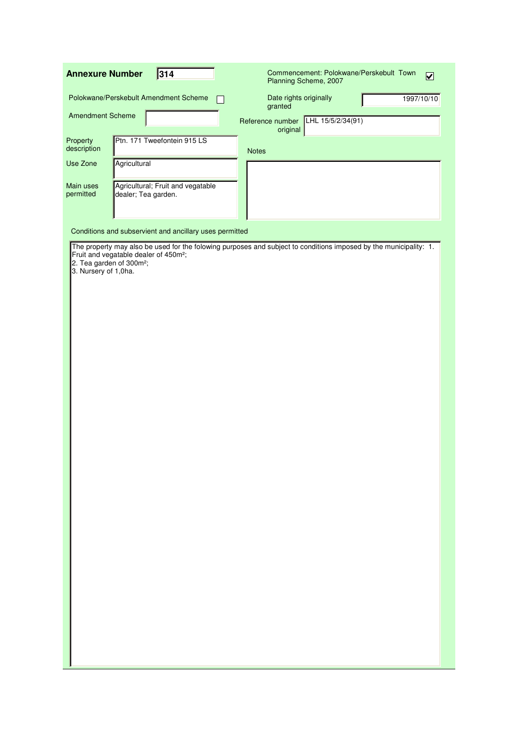| 314<br><b>Annexure Number</b>                                                             | Commencement: Polokwane/Perskebult Town<br>$\overline{\mathbf{v}}$<br>Planning Scheme, 2007                       |
|-------------------------------------------------------------------------------------------|-------------------------------------------------------------------------------------------------------------------|
| Polokwane/Perskebult Amendment Scheme                                                     | Date rights originally<br>1997/10/10<br>granted                                                                   |
| <b>Amendment Scheme</b>                                                                   | Reference number LHL 15/5/2/34(91)<br>original                                                                    |
| Ptn. 171 Tweefontein 915 LS<br>Property<br>description                                    | <b>Notes</b>                                                                                                      |
| Use Zone<br>Agricultural                                                                  |                                                                                                                   |
| Agricultural; Fruit and vegatable<br>Main uses<br>permitted<br>dealer; Tea garden.        |                                                                                                                   |
|                                                                                           |                                                                                                                   |
| Conditions and subservient and ancillary uses permitted                                   |                                                                                                                   |
| Fruit and vegatable dealer of 450m <sup>2</sup> ;<br>2. Tea garden of 300m <sup>2</sup> ; | The property may also be used for the folowing purposes and subject to conditions imposed by the municipality: 1. |
| 3. Nursery of 1,0ha.                                                                      |                                                                                                                   |
|                                                                                           |                                                                                                                   |
|                                                                                           |                                                                                                                   |
|                                                                                           |                                                                                                                   |
|                                                                                           |                                                                                                                   |
|                                                                                           |                                                                                                                   |
|                                                                                           |                                                                                                                   |
|                                                                                           |                                                                                                                   |
|                                                                                           |                                                                                                                   |
|                                                                                           |                                                                                                                   |
|                                                                                           |                                                                                                                   |
|                                                                                           |                                                                                                                   |
|                                                                                           |                                                                                                                   |
|                                                                                           |                                                                                                                   |
|                                                                                           |                                                                                                                   |
|                                                                                           |                                                                                                                   |
|                                                                                           |                                                                                                                   |
|                                                                                           |                                                                                                                   |
|                                                                                           |                                                                                                                   |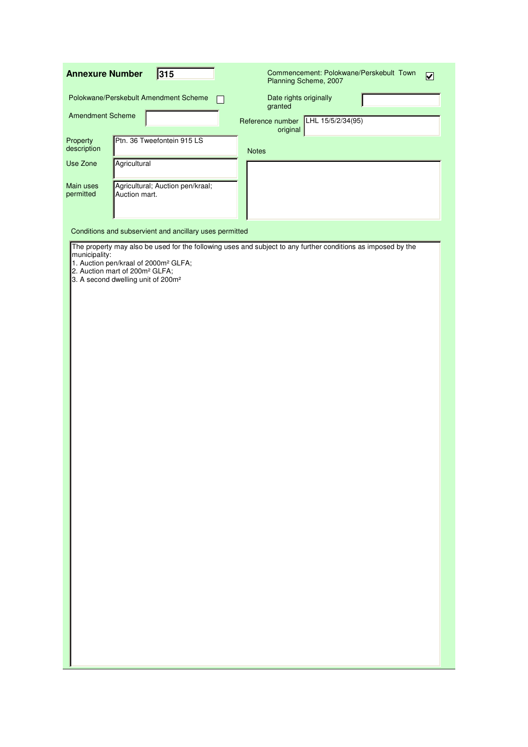| 315<br><b>Annexure Number</b>                                                                                                                                     | Commencement: Polokwane/Perskebult Town<br>$\overline{\mathbf{z}}$<br>Planning Scheme, 2007                  |
|-------------------------------------------------------------------------------------------------------------------------------------------------------------------|--------------------------------------------------------------------------------------------------------------|
| Polokwane/Perskebult Amendment Scheme                                                                                                                             | Date rights originally<br>granted                                                                            |
| <b>Amendment Scheme</b>                                                                                                                                           | Reference number LHL 15/5/2/34(95)<br>original                                                               |
| Property<br>Ptn. 36 Tweefontein 915 LS<br>description                                                                                                             | <b>Notes</b>                                                                                                 |
| Use Zone<br>Agricultural                                                                                                                                          |                                                                                                              |
| Agricultural; Auction pen/kraal;<br>Main uses<br>permitted<br>Auction mart.                                                                                       |                                                                                                              |
|                                                                                                                                                                   |                                                                                                              |
| Conditions and subservient and ancillary uses permitted                                                                                                           |                                                                                                              |
| municipality:<br>1. Auction pen/kraal of 2000m <sup>2</sup> GLFA;<br>2. Auction mart of 200m <sup>2</sup> GLFA;<br>3. A second dwelling unit of 200m <sup>2</sup> | The property may also be used for the following uses and subject to any further conditions as imposed by the |
|                                                                                                                                                                   |                                                                                                              |
|                                                                                                                                                                   |                                                                                                              |
|                                                                                                                                                                   |                                                                                                              |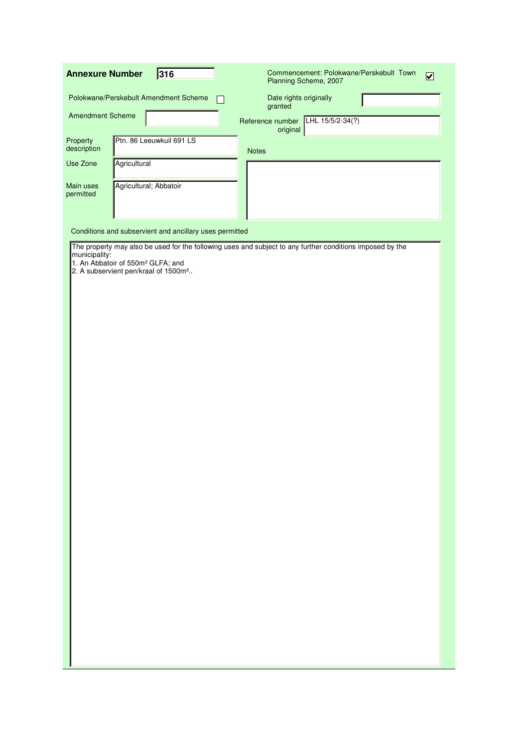| 316<br><b>Annexure Number</b>                                                                                                                                               | Commencement: Polokwane/Perskebult Town<br>$\overline{\mathbf{v}}$<br>Planning Scheme, 2007 |
|-----------------------------------------------------------------------------------------------------------------------------------------------------------------------------|---------------------------------------------------------------------------------------------|
| Polokwane/Perskebult Amendment Scheme                                                                                                                                       | Date rights originally<br>granted                                                           |
| <b>Amendment Scheme</b>                                                                                                                                                     | Reference number LHL 15/5/2-34(?)<br>original                                               |
| Ptn. 86 Leeuwkuil 691 LS<br>Property<br>description<br><b>Notes</b>                                                                                                         |                                                                                             |
| Use Zone<br>Agricultural                                                                                                                                                    |                                                                                             |
| Agricultural; Abbatoir<br>Main uses<br>permitted                                                                                                                            |                                                                                             |
|                                                                                                                                                                             |                                                                                             |
| Conditions and subservient and ancillary uses permitted                                                                                                                     |                                                                                             |
| The property may also be used for the following uses and subject to any further conditions imposed by the<br>municipality:<br>1. An Abbatoir of 550m <sup>2</sup> GLFA; and |                                                                                             |
| 2. A subservient pen/kraal of 1500m <sup>2</sup>                                                                                                                            |                                                                                             |
|                                                                                                                                                                             |                                                                                             |
|                                                                                                                                                                             |                                                                                             |
|                                                                                                                                                                             |                                                                                             |
|                                                                                                                                                                             |                                                                                             |
|                                                                                                                                                                             |                                                                                             |
|                                                                                                                                                                             |                                                                                             |
|                                                                                                                                                                             |                                                                                             |
|                                                                                                                                                                             |                                                                                             |
|                                                                                                                                                                             |                                                                                             |
|                                                                                                                                                                             |                                                                                             |
|                                                                                                                                                                             |                                                                                             |
|                                                                                                                                                                             |                                                                                             |
|                                                                                                                                                                             |                                                                                             |
|                                                                                                                                                                             |                                                                                             |
|                                                                                                                                                                             |                                                                                             |
|                                                                                                                                                                             |                                                                                             |
|                                                                                                                                                                             |                                                                                             |
|                                                                                                                                                                             |                                                                                             |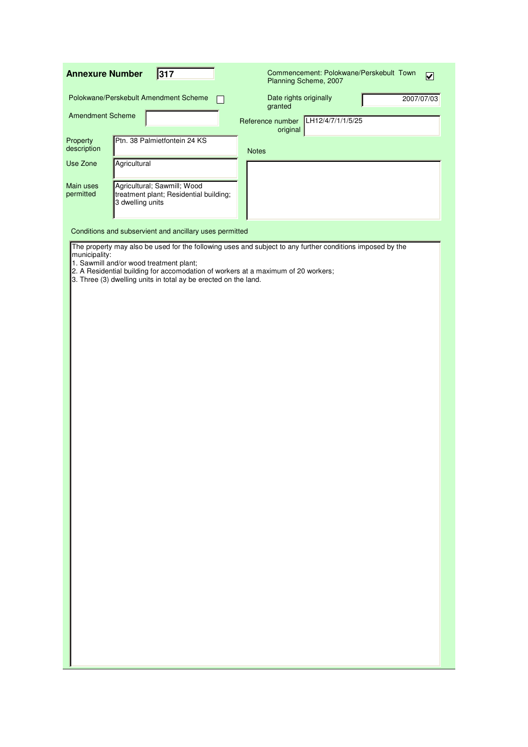| <b>Annexure Number</b>  | 317                                                                                                                                                                                             | Commencement: Polokwane/Perskebult Town<br>$\boxed{\mathbf{v}}$<br>Planning Scheme, 2007                  |
|-------------------------|-------------------------------------------------------------------------------------------------------------------------------------------------------------------------------------------------|-----------------------------------------------------------------------------------------------------------|
|                         | Polokwane/Perskebult Amendment Scheme                                                                                                                                                           | Date rights originally<br>2007/07/03<br>granted                                                           |
| <b>Amendment Scheme</b> |                                                                                                                                                                                                 | LH12/4/7/1/1/5/25<br>Reference number<br>original                                                         |
| Property<br>description | Ptn. 38 Palmietfontein 24 KS                                                                                                                                                                    | <b>Notes</b>                                                                                              |
| Use Zone                | Agricultural                                                                                                                                                                                    |                                                                                                           |
| Main uses<br>permitted  | Agricultural; Sawmill; Wood<br>treatment plant; Residential building;<br>3 dwelling units                                                                                                       |                                                                                                           |
|                         | Conditions and subservient and ancillary uses permitted                                                                                                                                         |                                                                                                           |
| municipality:           | 1. Sawmill and/or wood treatment plant;<br>2. A Residential building for accomodation of workers at a maximum of 20 workers;<br>3. Three (3) dwelling units in total ay be erected on the land. | The property may also be used for the following uses and subject to any further conditions imposed by the |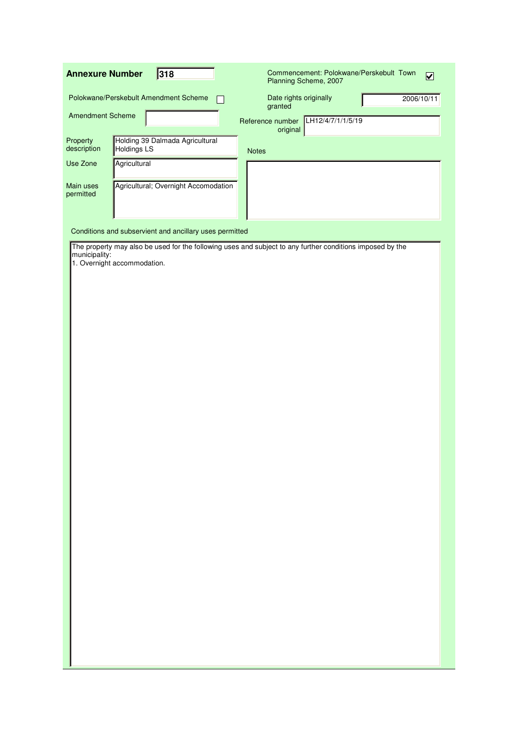| 318<br><b>Annexure Number</b>                                                    | Commencement: Polokwane/Perskebult Town<br>$\overline{\mathbf{v}}$<br>Planning Scheme, 2007               |
|----------------------------------------------------------------------------------|-----------------------------------------------------------------------------------------------------------|
| Polokwane/Perskebult Amendment Scheme                                            | Date rights originally<br>2006/10/11<br>granted                                                           |
| <b>Amendment Scheme</b>                                                          | LH12/4/7/1/1/5/19<br>Reference number<br>original                                                         |
| Property<br>Holding 39 Dalmada Agricultural<br>description<br><b>Holdings LS</b> | <b>Notes</b>                                                                                              |
| Use Zone<br>Agricultural                                                         |                                                                                                           |
| Agricultural; Overnight Accomodation<br>Main uses<br>permitted                   |                                                                                                           |
| Conditions and subservient and ancillary uses permitted                          |                                                                                                           |
| municipality:<br>1. Overnight accommodation.                                     | The property may also be used for the following uses and subject to any further conditions imposed by the |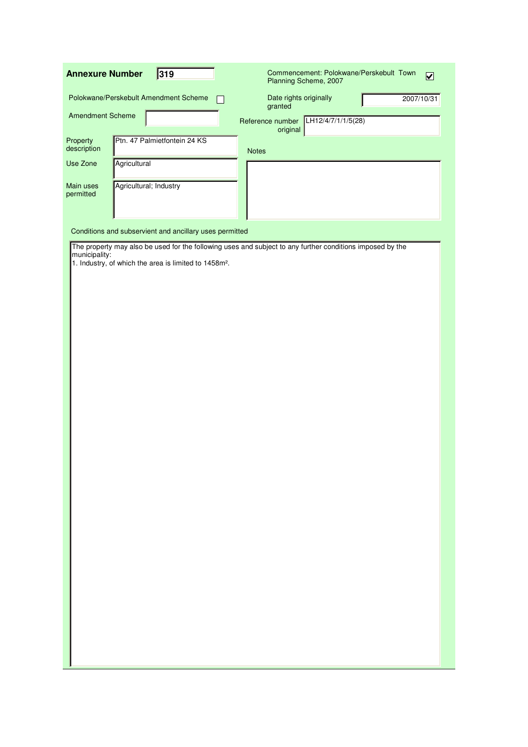| <b>Annexure Number</b>             | 319                                                               | Commencement: Polokwane/Perskebult Town<br>$\overline{\mathbf{v}}$<br>Planning Scheme, 2007               |
|------------------------------------|-------------------------------------------------------------------|-----------------------------------------------------------------------------------------------------------|
|                                    | Polokwane/Perskebult Amendment Scheme                             | Date rights originally<br>2007/10/31<br>granted                                                           |
| <b>Amendment Scheme</b>            |                                                                   | LH12/4/7/1/1/5(28)<br>Reference number<br>original                                                        |
| Property<br>description            | Ptn. 47 Palmietfontein 24 KS                                      | <b>Notes</b>                                                                                              |
| Use Zone<br>Main uses<br>permitted | Agricultural<br>Agricultural; Industry                            |                                                                                                           |
|                                    | Conditions and subservient and ancillary uses permitted           |                                                                                                           |
| municipality:                      | 1. Industry, of which the area is limited to 1458m <sup>2</sup> . | The property may also be used for the following uses and subject to any further conditions imposed by the |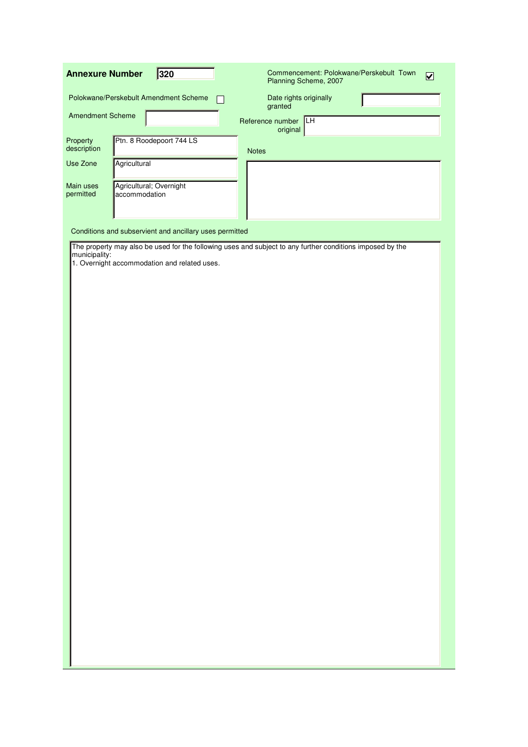| 320<br><b>Annexure Number</b>                                      | Commencement: Polokwane/Perskebult Town<br>$\overline{\mathbf{v}}$<br>Planning Scheme, 2007               |
|--------------------------------------------------------------------|-----------------------------------------------------------------------------------------------------------|
| Polokwane/Perskebult Amendment Scheme                              | Date rights originally<br>granted                                                                         |
| <b>Amendment Scheme</b>                                            | <b>ILH</b><br>Reference number<br>original                                                                |
| Ptn. 8 Roodepoort 744 LS<br>Property<br>description                | <b>Notes</b>                                                                                              |
| Agricultural<br>Use Zone                                           |                                                                                                           |
| Main uses<br>Agricultural; Overnight<br>permitted<br>accommodation |                                                                                                           |
|                                                                    |                                                                                                           |
| Conditions and subservient and ancillary uses permitted            |                                                                                                           |
| municipality:<br>1. Overnight accommodation and related uses.      | The property may also be used for the following uses and subject to any further conditions imposed by the |
|                                                                    |                                                                                                           |
|                                                                    |                                                                                                           |
|                                                                    |                                                                                                           |
|                                                                    |                                                                                                           |
|                                                                    |                                                                                                           |
|                                                                    |                                                                                                           |
|                                                                    |                                                                                                           |
|                                                                    |                                                                                                           |
|                                                                    |                                                                                                           |
|                                                                    |                                                                                                           |
|                                                                    |                                                                                                           |
|                                                                    |                                                                                                           |
|                                                                    |                                                                                                           |
|                                                                    |                                                                                                           |
|                                                                    |                                                                                                           |
|                                                                    |                                                                                                           |
|                                                                    |                                                                                                           |
|                                                                    |                                                                                                           |
|                                                                    |                                                                                                           |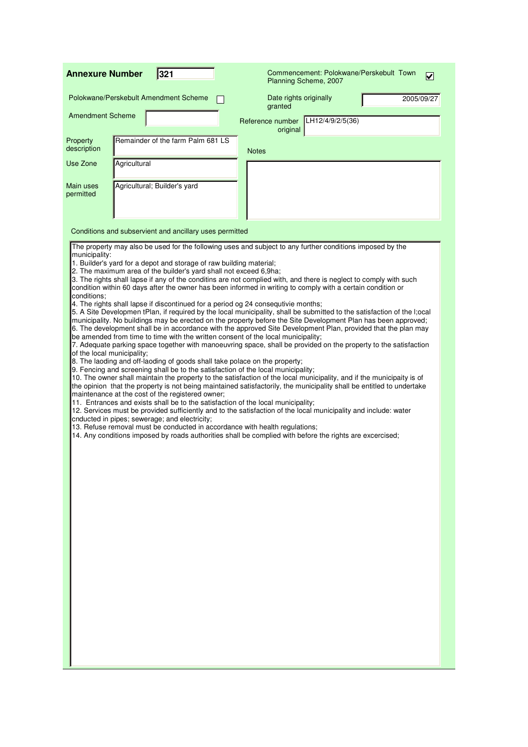| <b>Annexure Number</b>                                     |              | 321                                                                                                                                                                                                                                                                                                                                                                                                                                                                                                                                                                                                                                                                                                                                                                                                                                                                                                                                                                                                                                                                                                                                                                                                                                                                                                                                                                                                                                                                                                                                                                                                                                                                                                                                                                                                                                                                                                                                                                                                                                                                            |                                               | Commencement: Polokwane/Perskebult Town<br>Planning Scheme, 2007 | V          |
|------------------------------------------------------------|--------------|--------------------------------------------------------------------------------------------------------------------------------------------------------------------------------------------------------------------------------------------------------------------------------------------------------------------------------------------------------------------------------------------------------------------------------------------------------------------------------------------------------------------------------------------------------------------------------------------------------------------------------------------------------------------------------------------------------------------------------------------------------------------------------------------------------------------------------------------------------------------------------------------------------------------------------------------------------------------------------------------------------------------------------------------------------------------------------------------------------------------------------------------------------------------------------------------------------------------------------------------------------------------------------------------------------------------------------------------------------------------------------------------------------------------------------------------------------------------------------------------------------------------------------------------------------------------------------------------------------------------------------------------------------------------------------------------------------------------------------------------------------------------------------------------------------------------------------------------------------------------------------------------------------------------------------------------------------------------------------------------------------------------------------------------------------------------------------|-----------------------------------------------|------------------------------------------------------------------|------------|
|                                                            |              | Polokwane/Perskebult Amendment Scheme                                                                                                                                                                                                                                                                                                                                                                                                                                                                                                                                                                                                                                                                                                                                                                                                                                                                                                                                                                                                                                                                                                                                                                                                                                                                                                                                                                                                                                                                                                                                                                                                                                                                                                                                                                                                                                                                                                                                                                                                                                          | granted                                       | Date rights originally                                           | 2005/09/27 |
| <b>Amendment Scheme</b>                                    |              |                                                                                                                                                                                                                                                                                                                                                                                                                                                                                                                                                                                                                                                                                                                                                                                                                                                                                                                                                                                                                                                                                                                                                                                                                                                                                                                                                                                                                                                                                                                                                                                                                                                                                                                                                                                                                                                                                                                                                                                                                                                                                | Reference number LH12/4/9/2/5(36)<br>original |                                                                  |            |
| Property<br>description                                    |              | Remainder of the farm Palm 681 LS                                                                                                                                                                                                                                                                                                                                                                                                                                                                                                                                                                                                                                                                                                                                                                                                                                                                                                                                                                                                                                                                                                                                                                                                                                                                                                                                                                                                                                                                                                                                                                                                                                                                                                                                                                                                                                                                                                                                                                                                                                              | <b>Notes</b>                                  |                                                                  |            |
| Use Zone                                                   | Agricultural |                                                                                                                                                                                                                                                                                                                                                                                                                                                                                                                                                                                                                                                                                                                                                                                                                                                                                                                                                                                                                                                                                                                                                                                                                                                                                                                                                                                                                                                                                                                                                                                                                                                                                                                                                                                                                                                                                                                                                                                                                                                                                |                                               |                                                                  |            |
| Main uses<br>permitted                                     |              | Agricultural; Builder's yard                                                                                                                                                                                                                                                                                                                                                                                                                                                                                                                                                                                                                                                                                                                                                                                                                                                                                                                                                                                                                                                                                                                                                                                                                                                                                                                                                                                                                                                                                                                                                                                                                                                                                                                                                                                                                                                                                                                                                                                                                                                   |                                               |                                                                  |            |
|                                                            |              | Conditions and subservient and ancillary uses permitted                                                                                                                                                                                                                                                                                                                                                                                                                                                                                                                                                                                                                                                                                                                                                                                                                                                                                                                                                                                                                                                                                                                                                                                                                                                                                                                                                                                                                                                                                                                                                                                                                                                                                                                                                                                                                                                                                                                                                                                                                        |                                               |                                                                  |            |
| municipality:<br>conditions:<br>of the local municipality; |              | The property may also be used for the following uses and subject to any further conditions imposed by the<br>1. Builder's yard for a depot and storage of raw building material;<br>2. The maximum area of the builder's yard shall not exceed 6,9ha;<br>3. The rights shall lapse if any of the conditins are not complied with, and there is neglect to comply with such<br>condition within 60 days after the owner has been informed in writing to comply with a certain condition or<br>4. The rights shall lapse if discontinued for a period og 24 consequtivie months;<br>5. A Site Developmen tPlan, if required by the local municipality, shall be submitted to the satisfaction of the I;ocal<br>municipality. No buildings may be erected on the property before the Site Development Plan has been approved;<br>6. The development shall be in accordance with the approved Site Development Plan, provided that the plan may<br>be amended from time to time with the written consent of the local municipality;<br>7. Adequate parking space together with manoeuvring space, shall be provided on the property to the satisfaction<br>8. The laoding and off-laoding of goods shall take polace on the property;<br>9. Fencing and screening shall be to the satisfaction of the local municipality;<br>10. The owner shall maintain the property to the satisfaction of the local municipality, and if the municipaity is of<br>the opinion that the property is not being maintained satisfactorily, the municipality shall be entitled to undertake<br>maintenance at the cost of the registered owner;<br>11. Entrances and exists shall be to the satisfaction of the local municipality;<br>12. Services must be provided sufficiently and to the satisfaction of the local municipality and include: water<br>cnducted in pipes; sewerage; and electricity;<br>13. Refuse removal must be conducted in accordance with health regulations;<br>14. Any conditions imposed by roads authorities shall be complied with before the rights are excercised; |                                               |                                                                  |            |